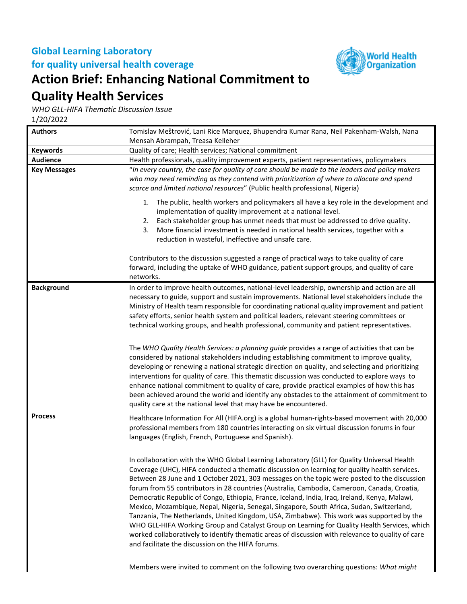## **Global Learning Laboratory for quality universal health coverage**



## **Action Brief: Enhancing National Commitment to**

## **Quality Health Services**

*WHO GLL-HIFA Thematic Discussion Issue*

1/20/2022

| <b>Authors</b>      | Tomislav Meštrović, Lani Rice Marquez, Bhupendra Kumar Rana, Neil Pakenham-Walsh, Nana<br>Mensah Abrampah, Treasa Kelleher                                                                                                                                                                                                                                                                                                                                                                                                                                                                                                                                                                                                                                                                                                                                                                                                                      |
|---------------------|-------------------------------------------------------------------------------------------------------------------------------------------------------------------------------------------------------------------------------------------------------------------------------------------------------------------------------------------------------------------------------------------------------------------------------------------------------------------------------------------------------------------------------------------------------------------------------------------------------------------------------------------------------------------------------------------------------------------------------------------------------------------------------------------------------------------------------------------------------------------------------------------------------------------------------------------------|
| <b>Keywords</b>     | Quality of care; Health services; National commitment                                                                                                                                                                                                                                                                                                                                                                                                                                                                                                                                                                                                                                                                                                                                                                                                                                                                                           |
| <b>Audience</b>     | Health professionals, quality improvement experts, patient representatives, policymakers                                                                                                                                                                                                                                                                                                                                                                                                                                                                                                                                                                                                                                                                                                                                                                                                                                                        |
| <b>Key Messages</b> | "In every country, the case for quality of care should be made to the leaders and policy makers                                                                                                                                                                                                                                                                                                                                                                                                                                                                                                                                                                                                                                                                                                                                                                                                                                                 |
|                     | who may need reminding as they contend with prioritization of where to allocate and spend<br>scarce and limited national resources" (Public health professional, Nigeria)<br>The public, health workers and policymakers all have a key role in the development and<br>1.                                                                                                                                                                                                                                                                                                                                                                                                                                                                                                                                                                                                                                                                       |
|                     |                                                                                                                                                                                                                                                                                                                                                                                                                                                                                                                                                                                                                                                                                                                                                                                                                                                                                                                                                 |
|                     | implementation of quality improvement at a national level.<br>Each stakeholder group has unmet needs that must be addressed to drive quality.<br>2.<br>3.<br>More financial investment is needed in national health services, together with a<br>reduction in wasteful, ineffective and unsafe care.                                                                                                                                                                                                                                                                                                                                                                                                                                                                                                                                                                                                                                            |
|                     | Contributors to the discussion suggested a range of practical ways to take quality of care<br>forward, including the uptake of WHO guidance, patient support groups, and quality of care<br>networks.                                                                                                                                                                                                                                                                                                                                                                                                                                                                                                                                                                                                                                                                                                                                           |
| <b>Background</b>   | In order to improve health outcomes, national-level leadership, ownership and action are all<br>necessary to guide, support and sustain improvements. National level stakeholders include the<br>Ministry of Health team responsible for coordinating national quality improvement and patient<br>safety efforts, senior health system and political leaders, relevant steering committees or<br>technical working groups, and health professional, community and patient representatives.                                                                                                                                                                                                                                                                                                                                                                                                                                                      |
|                     | The WHO Quality Health Services: a planning guide provides a range of activities that can be<br>considered by national stakeholders including establishing commitment to improve quality,<br>developing or renewing a national strategic direction on quality, and selecting and prioritizing<br>interventions for quality of care. This thematic discussion was conducted to explore ways to<br>enhance national commitment to quality of care, provide practical examples of how this has<br>been achieved around the world and identify any obstacles to the attainment of commitment to<br>quality care at the national level that may have be encountered.                                                                                                                                                                                                                                                                                 |
| <b>Process</b>      | Healthcare Information For All (HIFA.org) is a global human-rights-based movement with 20,000<br>professional members from 180 countries interacting on six virtual discussion forums in four<br>languages (English, French, Portuguese and Spanish).                                                                                                                                                                                                                                                                                                                                                                                                                                                                                                                                                                                                                                                                                           |
|                     | In collaboration with the WHO Global Learning Laboratory (GLL) for Quality Universal Health<br>Coverage (UHC), HIFA conducted a thematic discussion on learning for quality health services.<br>Between 28 June and 1 October 2021, 303 messages on the topic were posted to the discussion<br>forum from 55 contributors in 28 countries (Australia, Cambodia, Cameroon, Canada, Croatia,<br>Democratic Republic of Congo, Ethiopia, France, Iceland, India, Iraq, Ireland, Kenya, Malawi,<br>Mexico, Mozambique, Nepal, Nigeria, Senegal, Singapore, South Africa, Sudan, Switzerland,<br>Tanzania, The Netherlands, United Kingdom, USA, Zimbabwe). This work was supported by the<br>WHO GLL-HIFA Working Group and Catalyst Group on Learning for Quality Health Services, which<br>worked collaboratively to identify thematic areas of discussion with relevance to quality of care<br>and facilitate the discussion on the HIFA forums. |
|                     | Members were invited to comment on the following two overarching questions: What might                                                                                                                                                                                                                                                                                                                                                                                                                                                                                                                                                                                                                                                                                                                                                                                                                                                          |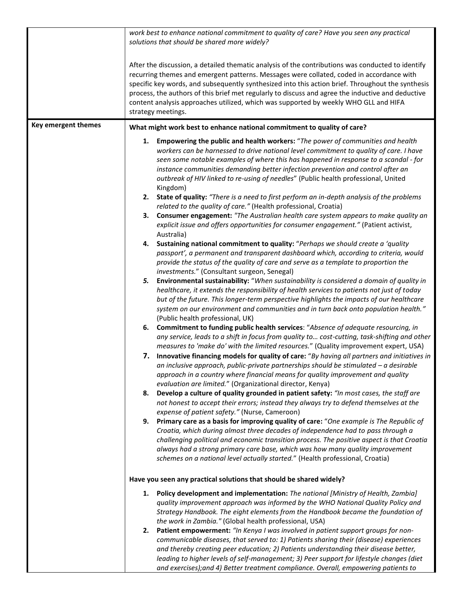|                     | work best to enhance national commitment to quality of care? Have you seen any practical<br>solutions that should be shared more widely?                                                                                                                                                                                                                                                                                                                                                                                                                                                                                                                                                                                                                                                                                                                                                                                                                                                                                                                                                                                                                                                                                                                                                                                                                                                                                                                                                                                                                                                                                                                                                                                                                                                                                                                                                                                                                                                                                                                                                                                                                                                                                                                                                                                                                                                                                                                                                                                                                                                                                                                                                                                                                                                                                                                                                                   |
|---------------------|------------------------------------------------------------------------------------------------------------------------------------------------------------------------------------------------------------------------------------------------------------------------------------------------------------------------------------------------------------------------------------------------------------------------------------------------------------------------------------------------------------------------------------------------------------------------------------------------------------------------------------------------------------------------------------------------------------------------------------------------------------------------------------------------------------------------------------------------------------------------------------------------------------------------------------------------------------------------------------------------------------------------------------------------------------------------------------------------------------------------------------------------------------------------------------------------------------------------------------------------------------------------------------------------------------------------------------------------------------------------------------------------------------------------------------------------------------------------------------------------------------------------------------------------------------------------------------------------------------------------------------------------------------------------------------------------------------------------------------------------------------------------------------------------------------------------------------------------------------------------------------------------------------------------------------------------------------------------------------------------------------------------------------------------------------------------------------------------------------------------------------------------------------------------------------------------------------------------------------------------------------------------------------------------------------------------------------------------------------------------------------------------------------------------------------------------------------------------------------------------------------------------------------------------------------------------------------------------------------------------------------------------------------------------------------------------------------------------------------------------------------------------------------------------------------------------------------------------------------------------------------------------------------|
|                     | After the discussion, a detailed thematic analysis of the contributions was conducted to identify<br>recurring themes and emergent patterns. Messages were collated, coded in accordance with<br>specific key words, and subsequently synthesized into this action brief. Throughout the synthesis<br>process, the authors of this brief met regularly to discuss and agree the inductive and deductive<br>content analysis approaches utilized, which was supported by weekly WHO GLL and HIFA<br>strategy meetings.                                                                                                                                                                                                                                                                                                                                                                                                                                                                                                                                                                                                                                                                                                                                                                                                                                                                                                                                                                                                                                                                                                                                                                                                                                                                                                                                                                                                                                                                                                                                                                                                                                                                                                                                                                                                                                                                                                                                                                                                                                                                                                                                                                                                                                                                                                                                                                                      |
| Key emergent themes | What might work best to enhance national commitment to quality of care?                                                                                                                                                                                                                                                                                                                                                                                                                                                                                                                                                                                                                                                                                                                                                                                                                                                                                                                                                                                                                                                                                                                                                                                                                                                                                                                                                                                                                                                                                                                                                                                                                                                                                                                                                                                                                                                                                                                                                                                                                                                                                                                                                                                                                                                                                                                                                                                                                                                                                                                                                                                                                                                                                                                                                                                                                                    |
|                     | Empowering the public and health workers: "The power of communities and health<br>1.<br>workers can be harnessed to drive national level commitment to quality of care. I have<br>seen some notable examples of where this has happened in response to a scandal - for<br>instance communities demanding better infection prevention and control after an<br>outbreak of HIV linked to re-using of needles" (Public health professional, United<br>Kingdom)<br>State of quality: "There is a need to first perform an in-depth analysis of the problems<br>2.<br>related to the quality of care." (Health professional, Croatia)<br>Consumer engagement: "The Australian health care system appears to make quality an<br>3.<br>explicit issue and offers opportunities for consumer engagement." (Patient activist,<br>Australia)<br>Sustaining national commitment to quality: "Perhaps we should create a 'quality<br>4.<br>passport', a permanent and transparent dashboard which, according to criteria, would<br>provide the status of the quality of care and serve as a template to proportion the<br>investments." (Consultant surgeon, Senegal)<br>Environmental sustainability: "When sustainability is considered a domain of quality in<br>5.<br>healthcare, it extends the responsibility of health services to patients not just of today<br>but of the future. This longer-term perspective highlights the impacts of our healthcare<br>system on our environment and communities and in turn back onto population health."<br>(Public health professional, UK)<br>6. Commitment to funding public health services: "Absence of adequate resourcing, in<br>any service, leads to a shift in focus from quality to cost-cutting, task-shifting and other<br>measures to 'make do' with the limited resources." (Quality improvement expert, USA)<br>7. Innovative financing models for quality of care: "By having all partners and initiatives in<br>an inclusive approach, public-private partnerships should be stimulated $-a$ desirable<br>approach in a country where financial means for quality improvement and quality<br>evaluation are limited." (Organizational director, Kenya)<br>Develop a culture of quality grounded in patient safety: "In most cases, the staff are<br>8.<br>not honest to accept their errors; instead they always try to defend themselves at the<br>expense of patient safety." (Nurse, Cameroon)<br>Primary care as a basis for improving quality of care: "One example is The Republic of<br>9.<br>Croatia, which during almost three decades of independence had to pass through a<br>challenging political and economic transition process. The positive aspect is that Croatia<br>always had a strong primary care base, which was how many quality improvement<br>schemes on a national level actually started." (Health professional, Croatia) |
|                     |                                                                                                                                                                                                                                                                                                                                                                                                                                                                                                                                                                                                                                                                                                                                                                                                                                                                                                                                                                                                                                                                                                                                                                                                                                                                                                                                                                                                                                                                                                                                                                                                                                                                                                                                                                                                                                                                                                                                                                                                                                                                                                                                                                                                                                                                                                                                                                                                                                                                                                                                                                                                                                                                                                                                                                                                                                                                                                            |
|                     | Have you seen any practical solutions that should be shared widely?                                                                                                                                                                                                                                                                                                                                                                                                                                                                                                                                                                                                                                                                                                                                                                                                                                                                                                                                                                                                                                                                                                                                                                                                                                                                                                                                                                                                                                                                                                                                                                                                                                                                                                                                                                                                                                                                                                                                                                                                                                                                                                                                                                                                                                                                                                                                                                                                                                                                                                                                                                                                                                                                                                                                                                                                                                        |
|                     | Policy development and implementation: The national [Ministry of Health, Zambia]<br>1.<br>quality improvement approach was informed by the WHO National Quality Policy and<br>Strategy Handbook. The eight elements from the Handbook became the foundation of<br>the work in Zambia." (Global health professional, USA)                                                                                                                                                                                                                                                                                                                                                                                                                                                                                                                                                                                                                                                                                                                                                                                                                                                                                                                                                                                                                                                                                                                                                                                                                                                                                                                                                                                                                                                                                                                                                                                                                                                                                                                                                                                                                                                                                                                                                                                                                                                                                                                                                                                                                                                                                                                                                                                                                                                                                                                                                                                   |
|                     | Patient empowerment: "In Kenya I was involved in patient support groups for non-<br>2.<br>communicable diseases, that served to: 1) Patients sharing their (disease) experiences<br>and thereby creating peer education; 2) Patients understanding their disease better,<br>leading to higher levels of self-management; 3) Peer support for lifestyle changes (diet<br>and exercises); and 4) Better treatment compliance. Overall, empowering patients to                                                                                                                                                                                                                                                                                                                                                                                                                                                                                                                                                                                                                                                                                                                                                                                                                                                                                                                                                                                                                                                                                                                                                                                                                                                                                                                                                                                                                                                                                                                                                                                                                                                                                                                                                                                                                                                                                                                                                                                                                                                                                                                                                                                                                                                                                                                                                                                                                                                |